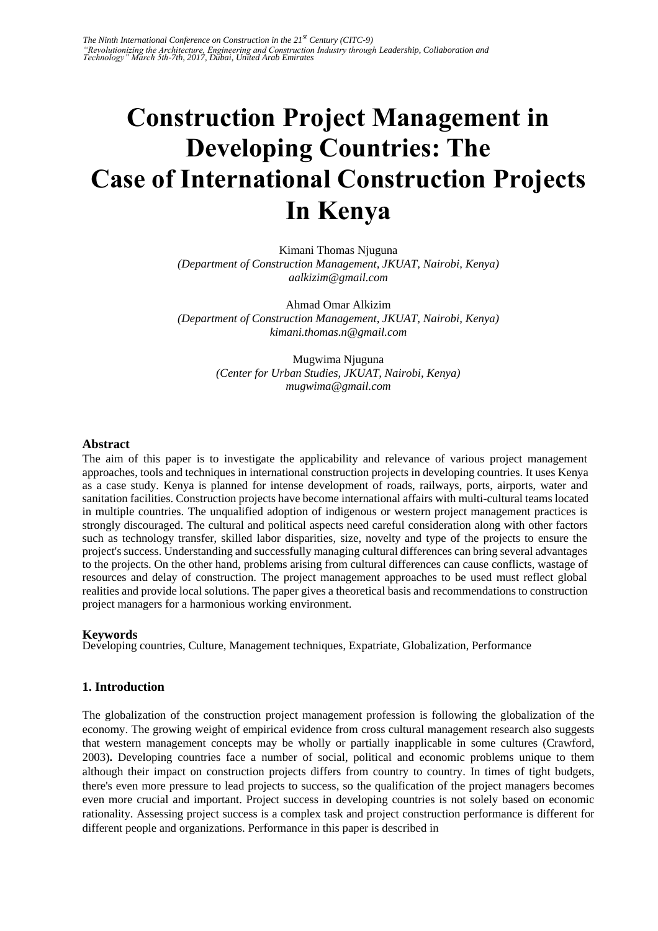# **Construction Project Management in Developing Countries: The Case of International Construction Projects In Kenya**

Kimani Thomas Njuguna *(Department of Construction Management, JKUAT, Nairobi, Kenya) aalkizim@gmail.com* 

Ahmad Omar Alkizim *(Department of Construction Management, JKUAT, Nairobi, Kenya) kimani.thomas.n@gmail.com* 

> Mugwima Njuguna *(Center for Urban Studies, JKUAT, Nairobi, Kenya) mugwima@gmail.com*

#### **Abstract**

The aim of this paper is to investigate the applicability and relevance of various project management approaches, tools and techniques in international construction projects in developing countries. It uses Kenya as a case study. Kenya is planned for intense development of roads, railways, ports, airports, water and sanitation facilities. Construction projects have become international affairs with multi-cultural teams located in multiple countries. The unqualified adoption of indigenous or western project management practices is strongly discouraged. The cultural and political aspects need careful consideration along with other factors such as technology transfer, skilled labor disparities, size, novelty and type of the projects to ensure the project's success. Understanding and successfully managing cultural differences can bring several advantages to the projects. On the other hand, problems arising from cultural differences can cause conflicts, wastage of resources and delay of construction. The project management approaches to be used must reflect global realities and provide local solutions. The paper gives a theoretical basis and recommendations to construction project managers for a harmonious working environment.

#### **Keywords**

Developing countries, Culture, Management techniques, Expatriate, Globalization, Performance

# **1. Introduction**

The globalization of the construction project management profession is following the globalization of the economy. The growing weight of empirical evidence from cross cultural management research also suggests that western management concepts may be wholly or partially inapplicable in some cultures (Crawford, 2003)**.** Developing countries face a number of social, political and economic problems unique to them although their impact on construction projects differs from country to country. In times of tight budgets, there's even more pressure to lead projects to success, so the qualification of the project managers becomes even more crucial and important. Project success in developing countries is not solely based on economic rationality. Assessing project success is a complex task and project construction performance is different for different people and organizations. Performance in this paper is described in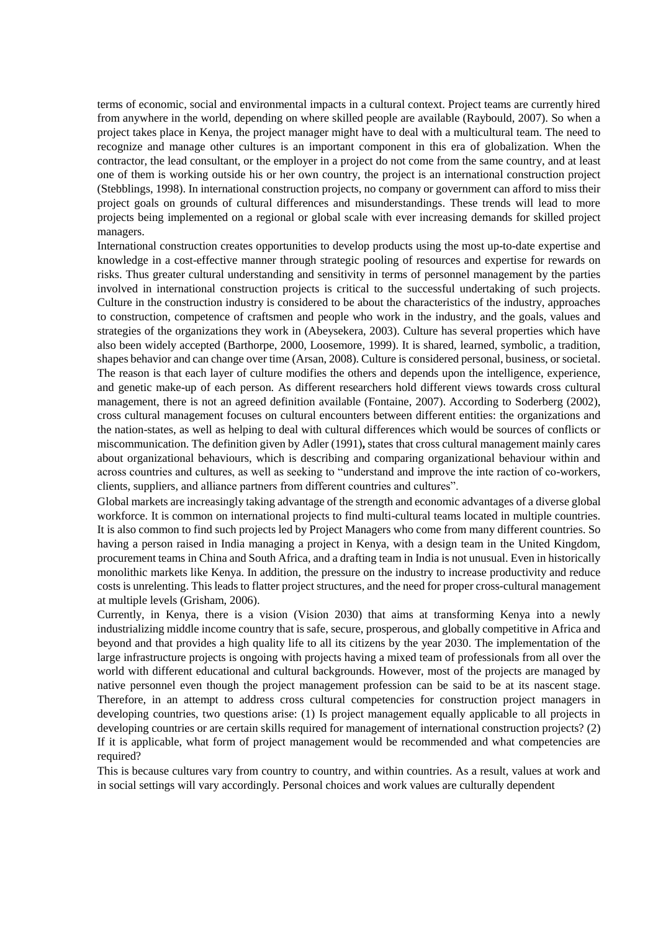terms of economic, social and environmental impacts in a cultural context. Project teams are currently hired from anywhere in the world, depending on where skilled people are available (Raybould, 2007). So when a project takes place in Kenya, the project manager might have to deal with a multicultural team. The need to recognize and manage other cultures is an important component in this era of globalization. When the contractor, the lead consultant, or the employer in a project do not come from the same country, and at least one of them is working outside his or her own country, the project is an international construction project (Stebblings, 1998). In international construction projects, no company or government can afford to miss their project goals on grounds of cultural differences and misunderstandings. These trends will lead to more projects being implemented on a regional or global scale with ever increasing demands for skilled project managers.

International construction creates opportunities to develop products using the most up-to-date expertise and knowledge in a cost-effective manner through strategic pooling of resources and expertise for rewards on risks. Thus greater cultural understanding and sensitivity in terms of personnel management by the parties involved in international construction projects is critical to the successful undertaking of such projects. Culture in the construction industry is considered to be about the characteristics of the industry, approaches to construction, competence of craftsmen and people who work in the industry, and the goals, values and strategies of the organizations they work in (Abeysekera, 2003). Culture has several properties which have also been widely accepted (Barthorpe, 2000, Loosemore, 1999). It is shared, learned, symbolic, a tradition, shapes behavior and can change over time (Arsan, 2008). Culture is considered personal, business, or societal. The reason is that each layer of culture modifies the others and depends upon the intelligence, experience, and genetic make-up of each person. As different researchers hold different views towards cross cultural management, there is not an agreed definition available (Fontaine, 2007). According to Soderberg (2002), cross cultural management focuses on cultural encounters between different entities: the organizations and the nation-states, as well as helping to deal with cultural differences which would be sources of conflicts or miscommunication. The definition given by Adler (1991)**,** states that cross cultural management mainly cares about organizational behaviours, which is describing and comparing organizational behaviour within and across countries and cultures, as well as seeking to "understand and improve the inte raction of co-workers, clients, suppliers, and alliance partners from different countries and cultures".

Global markets are increasingly taking advantage of the strength and economic advantages of a diverse global workforce. It is common on international projects to find multi-cultural teams located in multiple countries. It is also common to find such projects led by Project Managers who come from many different countries. So having a person raised in India managing a project in Kenya, with a design team in the United Kingdom, procurement teams in China and South Africa, and a drafting team in India is not unusual. Even in historically monolithic markets like Kenya. In addition, the pressure on the industry to increase productivity and reduce costs is unrelenting. This leads to flatter project structures, and the need for proper cross-cultural management at multiple levels (Grisham, 2006).

Currently, in Kenya, there is a vision (Vision 2030) that aims at transforming Kenya into a newly industrializing middle income country that is safe, secure, prosperous, and globally competitive in Africa and beyond and that provides a high quality life to all its citizens by the year 2030. The implementation of the large infrastructure projects is ongoing with projects having a mixed team of professionals from all over the world with different educational and cultural backgrounds. However, most of the projects are managed by native personnel even though the project management profession can be said to be at its nascent stage. Therefore, in an attempt to address cross cultural competencies for construction project managers in developing countries, two questions arise: (1) Is project management equally applicable to all projects in developing countries or are certain skills required for management of international construction projects? (2) If it is applicable, what form of project management would be recommended and what competencies are required?

This is because cultures vary from country to country, and within countries. As a result, values at work and in social settings will vary accordingly. Personal choices and work values are culturally dependent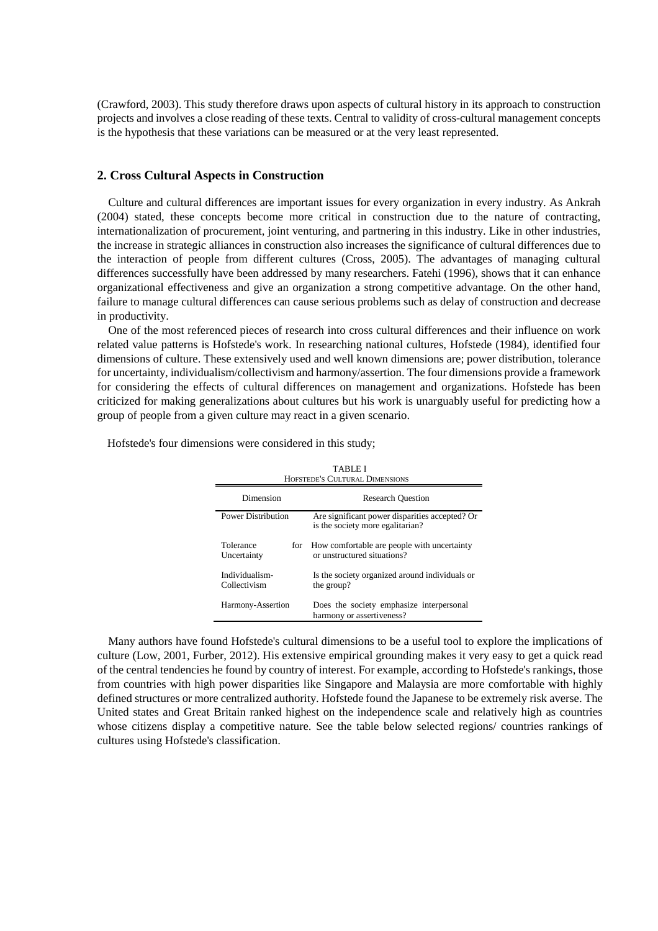(Crawford, 2003). This study therefore draws upon aspects of cultural history in its approach to construction projects and involves a close reading of these texts. Central to validity of cross-cultural management concepts is the hypothesis that these variations can be measured or at the very least represented.

# **2. Cross Cultural Aspects in Construction**

Culture and cultural differences are important issues for every organization in every industry. As Ankrah (2004) stated, these concepts become more critical in construction due to the nature of contracting, internationalization of procurement, joint venturing, and partnering in this industry. Like in other industries, the increase in strategic alliances in construction also increases the significance of cultural differences due to the interaction of people from different cultures (Cross, 2005). The advantages of managing cultural differences successfully have been addressed by many researchers. Fatehi (1996), shows that it can enhance organizational effectiveness and give an organization a strong competitive advantage. On the other hand, failure to manage cultural differences can cause serious problems such as delay of construction and decrease in productivity.

One of the most referenced pieces of research into cross cultural differences and their influence on work related value patterns is Hofstede's work. In researching national cultures, Hofstede (1984), identified four dimensions of culture. These extensively used and well known dimensions are; power distribution, tolerance for uncertainty, individualism/collectivism and harmony/assertion. The four dimensions provide a framework for considering the effects of cultural differences on management and organizations. Hofstede has been criticized for making generalizations about cultures but his work is unarguably useful for predicting how a group of people from a given culture may react in a given scenario.

| TABLE I<br>HOFSTEDE'S CULTURAL DIMENSIONS |                                                                                    |  |  |  |
|-------------------------------------------|------------------------------------------------------------------------------------|--|--|--|
| Dimension                                 | <b>Research Ouestion</b>                                                           |  |  |  |
| Power Distribution                        | Are significant power disparities accepted? Or<br>is the society more egalitarian? |  |  |  |
| Tolerance<br>for<br>Uncertainty           | How comfortable are people with uncertainty<br>or unstructured situations?         |  |  |  |
| Individualism-<br>Collectivism            | Is the society organized around individuals or<br>the group?                       |  |  |  |
| Harmony-Assertion                         | Does the society emphasize interpersonal<br>harmony or assertiveness?              |  |  |  |

Hofstede's four dimensions were considered in this study;

Many authors have found Hofstede's cultural dimensions to be a useful tool to explore the implications of culture (Low, 2001, Furber, 2012). His extensive empirical grounding makes it very easy to get a quick read of the central tendencies he found by country of interest. For example, according to Hofstede's rankings, those from countries with high power disparities like Singapore and Malaysia are more comfortable with highly defined structures or more centralized authority. Hofstede found the Japanese to be extremely risk averse. The United states and Great Britain ranked highest on the independence scale and relatively high as countries whose citizens display a competitive nature. See the table below selected regions/ countries rankings of cultures using Hofstede's classification.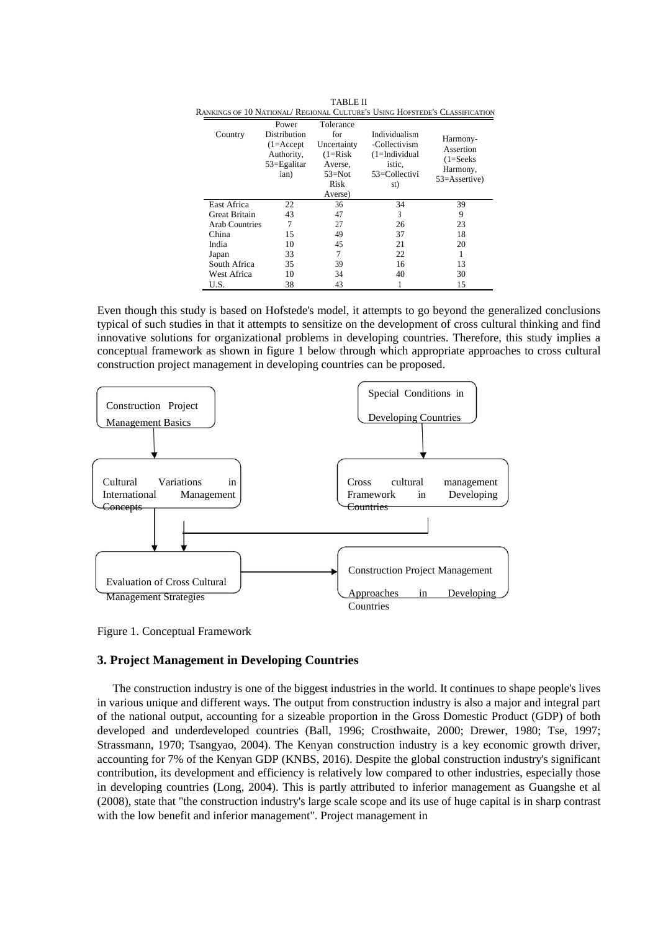|                       |                                                                               |                                                                                           |                                                                                     | RANKINGS OF 10 NATIONAL/ REGIONAL CULTURE'S USING HOFSTEDE'S CLASSIFICATION |
|-----------------------|-------------------------------------------------------------------------------|-------------------------------------------------------------------------------------------|-------------------------------------------------------------------------------------|-----------------------------------------------------------------------------|
| Country               | Power<br>Distribution<br>$(1=Accept$<br>Authority,<br>$53 =$ Egalitar<br>ian) | Tolerance<br>for<br>Uncertainty<br>$(1=Risk)$<br>Averse,<br>$53 = Not$<br>Risk<br>Averse) | Individualism<br>-Collectivism<br>$(1=Individual$<br>istic.<br>53=Collectivi<br>st) | Harmony-<br>Assertion<br>$(1=Seeks$<br>Harmony,<br>53=Assertive)            |
| East Africa           | 22                                                                            | 36                                                                                        | 34                                                                                  | 39                                                                          |
| <b>Great Britain</b>  | 43                                                                            | 47                                                                                        | 3                                                                                   | 9                                                                           |
| <b>Arab Countries</b> | 7                                                                             | 27                                                                                        | 26                                                                                  | 23                                                                          |
| China                 | 15                                                                            | 49                                                                                        | 37                                                                                  | 18                                                                          |
| India                 | 10                                                                            | 45                                                                                        | 21                                                                                  | 20                                                                          |
| Japan                 | 33                                                                            | 7                                                                                         | 22                                                                                  | 1                                                                           |
| South Africa          | 35                                                                            | 39                                                                                        | 16                                                                                  | 13                                                                          |
| West Africa           | 10                                                                            | 34                                                                                        | 40                                                                                  | 30                                                                          |
| U.S.                  | 38                                                                            | 43                                                                                        |                                                                                     | 15                                                                          |

TABLE II

Even though this study is based on Hofstede's model, it attempts to go beyond the generalized conclusions typical of such studies in that it attempts to sensitize on the development of cross cultural thinking and find innovative solutions for organizational problems in developing countries. Therefore, this study implies a conceptual framework as shown in figure 1 below through which appropriate approaches to cross cultural construction project management in developing countries can be proposed.



Figure 1. Conceptual Framework

# **3. Project Management in Developing Countries**

The construction industry is one of the biggest industries in the world. It continues to shape people's lives in various unique and different ways. The output from construction industry is also a major and integral part of the national output, accounting for a sizeable proportion in the Gross Domestic Product (GDP) of both developed and underdeveloped countries (Ball, 1996; Crosthwaite, 2000; Drewer, 1980; Tse, 1997; Strassmann, 1970; Tsangyao, 2004). The Kenyan construction industry is a key economic growth driver, accounting for 7% of the Kenyan GDP (KNBS, 2016). Despite the global construction industry's significant contribution, its development and efficiency is relatively low compared to other industries, especially those in developing countries (Long, 2004). This is partly attributed to inferior management as Guangshe et al (2008), state that "the construction industry's large scale scope and its use of huge capital is in sharp contrast with the low benefit and inferior management". Project management in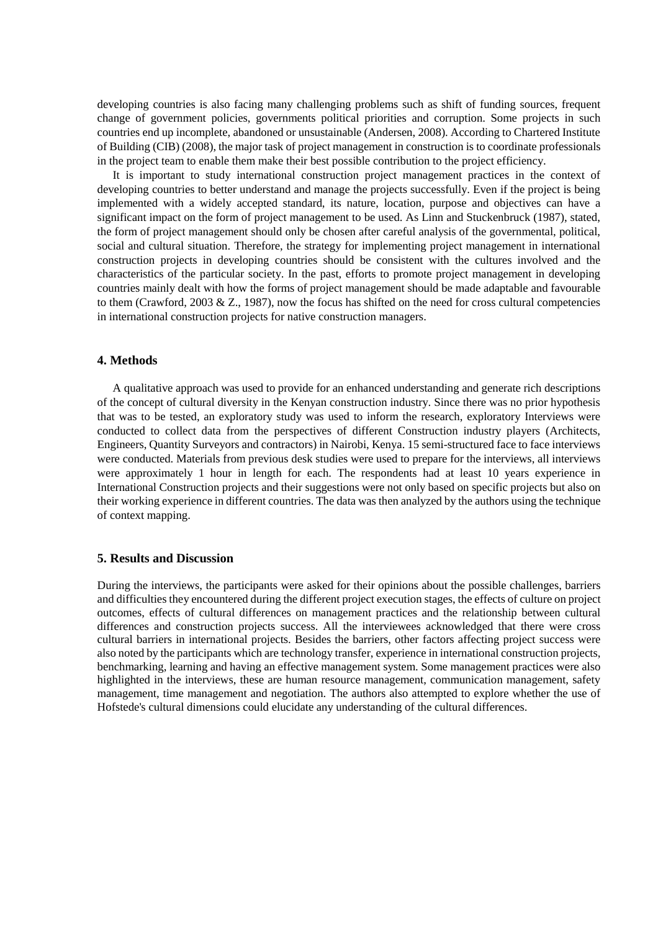developing countries is also facing many challenging problems such as shift of funding sources, frequent change of government policies, governments political priorities and corruption. Some projects in such countries end up incomplete, abandoned or unsustainable (Andersen, 2008). According to Chartered Institute of Building (CIB) (2008), the major task of project management in construction is to coordinate professionals in the project team to enable them make their best possible contribution to the project efficiency.

It is important to study international construction project management practices in the context of developing countries to better understand and manage the projects successfully. Even if the project is being implemented with a widely accepted standard, its nature, location, purpose and objectives can have a significant impact on the form of project management to be used. As Linn and Stuckenbruck (1987), stated, the form of project management should only be chosen after careful analysis of the governmental, political, social and cultural situation. Therefore, the strategy for implementing project management in international construction projects in developing countries should be consistent with the cultures involved and the characteristics of the particular society. In the past, efforts to promote project management in developing countries mainly dealt with how the forms of project management should be made adaptable and favourable to them (Crawford, 2003  $&\mathbb{Z}$ , 1987), now the focus has shifted on the need for cross cultural competencies in international construction projects for native construction managers.

#### **4. Methods**

A qualitative approach was used to provide for an enhanced understanding and generate rich descriptions of the concept of cultural diversity in the Kenyan construction industry. Since there was no prior hypothesis that was to be tested, an exploratory study was used to inform the research, exploratory Interviews were conducted to collect data from the perspectives of different Construction industry players (Architects, Engineers, Quantity Surveyors and contractors) in Nairobi, Kenya. 15 semi-structured face to face interviews were conducted. Materials from previous desk studies were used to prepare for the interviews, all interviews were approximately 1 hour in length for each. The respondents had at least 10 years experience in International Construction projects and their suggestions were not only based on specific projects but also on their working experience in different countries. The data was then analyzed by the authors using the technique of context mapping.

#### **5. Results and Discussion**

During the interviews, the participants were asked for their opinions about the possible challenges, barriers and difficulties they encountered during the different project execution stages, the effects of culture on project outcomes, effects of cultural differences on management practices and the relationship between cultural differences and construction projects success. All the interviewees acknowledged that there were cross cultural barriers in international projects. Besides the barriers, other factors affecting project success were also noted by the participants which are technology transfer, experience in international construction projects, benchmarking, learning and having an effective management system. Some management practices were also highlighted in the interviews, these are human resource management, communication management, safety management, time management and negotiation. The authors also attempted to explore whether the use of Hofstede's cultural dimensions could elucidate any understanding of the cultural differences.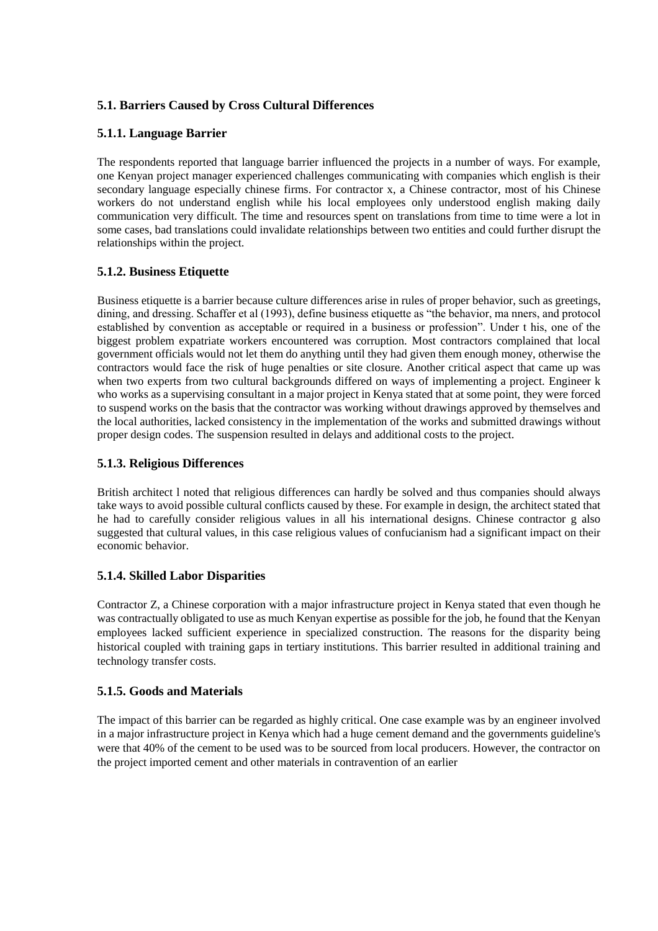# **5.1. Barriers Caused by Cross Cultural Differences**

# **5.1.1. Language Barrier**

The respondents reported that language barrier influenced the projects in a number of ways. For example, one Kenyan project manager experienced challenges communicating with companies which english is their secondary language especially chinese firms. For contractor x, a Chinese contractor, most of his Chinese workers do not understand english while his local employees only understood english making daily communication very difficult. The time and resources spent on translations from time to time were a lot in some cases, bad translations could invalidate relationships between two entities and could further disrupt the relationships within the project.

# **5.1.2. Business Etiquette**

Business etiquette is a barrier because culture differences arise in rules of proper behavior, such as greetings, dining, and dressing. Schaffer et al (1993), define business etiquette as "the behavior, ma nners, and protocol established by convention as acceptable or required in a business or profession". Under t his, one of the biggest problem expatriate workers encountered was corruption. Most contractors complained that local government officials would not let them do anything until they had given them enough money, otherwise the contractors would face the risk of huge penalties or site closure. Another critical aspect that came up was when two experts from two cultural backgrounds differed on ways of implementing a project. Engineer k who works as a supervising consultant in a major project in Kenya stated that at some point, they were forced to suspend works on the basis that the contractor was working without drawings approved by themselves and the local authorities, lacked consistency in the implementation of the works and submitted drawings without proper design codes. The suspension resulted in delays and additional costs to the project.

# **5.1.3. Religious Differences**

British architect l noted that religious differences can hardly be solved and thus companies should always take ways to avoid possible cultural conflicts caused by these. For example in design, the architect stated that he had to carefully consider religious values in all his international designs. Chinese contractor g also suggested that cultural values, in this case religious values of confucianism had a significant impact on their economic behavior.

# **5.1.4. Skilled Labor Disparities**

Contractor Z, a Chinese corporation with a major infrastructure project in Kenya stated that even though he was contractually obligated to use as much Kenyan expertise as possible for the job, he found that the Kenyan employees lacked sufficient experience in specialized construction. The reasons for the disparity being historical coupled with training gaps in tertiary institutions. This barrier resulted in additional training and technology transfer costs.

# **5.1.5. Goods and Materials**

The impact of this barrier can be regarded as highly critical. One case example was by an engineer involved in a major infrastructure project in Kenya which had a huge cement demand and the governments guideline's were that 40% of the cement to be used was to be sourced from local producers. However, the contractor on the project imported cement and other materials in contravention of an earlier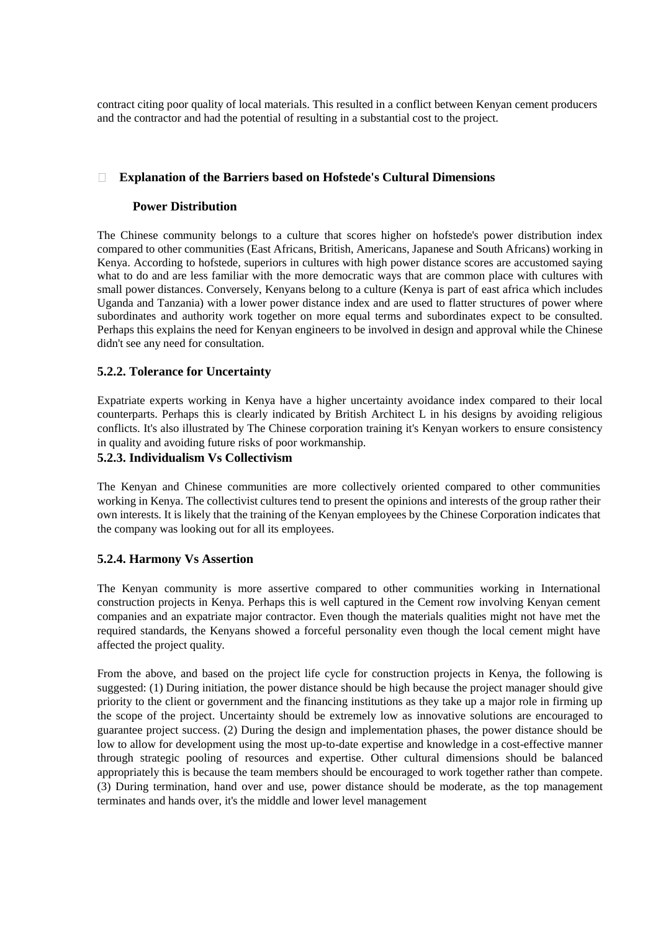contract citing poor quality of local materials. This resulted in a conflict between Kenyan cement producers and the contractor and had the potential of resulting in a substantial cost to the project.

#### $\Box$ **Explanation of the Barriers based on Hofstede's Cultural Dimensions**

# **Power Distribution**

The Chinese community belongs to a culture that scores higher on hofstede's power distribution index compared to other communities (East Africans, British, Americans, Japanese and South Africans) working in Kenya. According to hofstede, superiors in cultures with high power distance scores are accustomed saying what to do and are less familiar with the more democratic ways that are common place with cultures with small power distances. Conversely, Kenyans belong to a culture (Kenya is part of east africa which includes Uganda and Tanzania) with a lower power distance index and are used to flatter structures of power where subordinates and authority work together on more equal terms and subordinates expect to be consulted. Perhaps this explains the need for Kenyan engineers to be involved in design and approval while the Chinese didn't see any need for consultation.

# **5.2.2. Tolerance for Uncertainty**

Expatriate experts working in Kenya have a higher uncertainty avoidance index compared to their local counterparts. Perhaps this is clearly indicated by British Architect L in his designs by avoiding religious conflicts. It's also illustrated by The Chinese corporation training it's Kenyan workers to ensure consistency in quality and avoiding future risks of poor workmanship.

# **5.2.3. Individualism Vs Collectivism**

The Kenyan and Chinese communities are more collectively oriented compared to other communities working in Kenya. The collectivist cultures tend to present the opinions and interests of the group rather their own interests. It is likely that the training of the Kenyan employees by the Chinese Corporation indicates that the company was looking out for all its employees.

# **5.2.4. Harmony Vs Assertion**

The Kenyan community is more assertive compared to other communities working in International construction projects in Kenya. Perhaps this is well captured in the Cement row involving Kenyan cement companies and an expatriate major contractor. Even though the materials qualities might not have met the required standards, the Kenyans showed a forceful personality even though the local cement might have affected the project quality.

From the above, and based on the project life cycle for construction projects in Kenya, the following is suggested: (1) During initiation, the power distance should be high because the project manager should give priority to the client or government and the financing institutions as they take up a major role in firming up the scope of the project. Uncertainty should be extremely low as innovative solutions are encouraged to guarantee project success. (2) During the design and implementation phases, the power distance should be low to allow for development using the most up-to-date expertise and knowledge in a cost-effective manner through strategic pooling of resources and expertise. Other cultural dimensions should be balanced appropriately this is because the team members should be encouraged to work together rather than compete. (3) During termination, hand over and use, power distance should be moderate, as the top management terminates and hands over, it's the middle and lower level management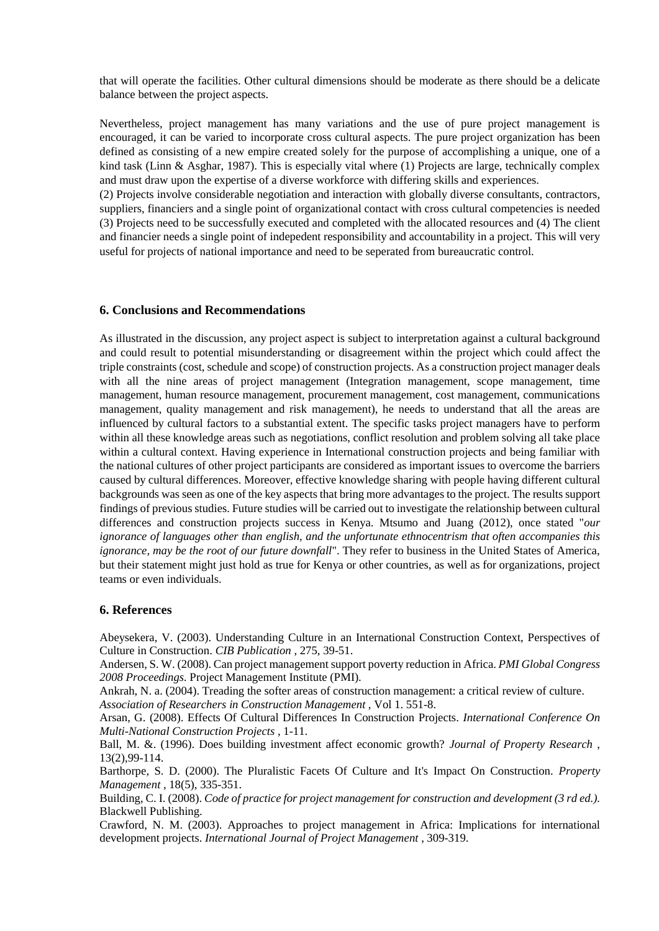that will operate the facilities. Other cultural dimensions should be moderate as there should be a delicate balance between the project aspects.

Nevertheless, project management has many variations and the use of pure project management is encouraged, it can be varied to incorporate cross cultural aspects. The pure project organization has been defined as consisting of a new empire created solely for the purpose of accomplishing a unique, one of a kind task (Linn & Asghar, 1987). This is especially vital where (1) Projects are large, technically complex and must draw upon the expertise of a diverse workforce with differing skills and experiences.

(2) Projects involve considerable negotiation and interaction with globally diverse consultants, contractors, suppliers, financiers and a single point of organizational contact with cross cultural competencies is needed (3) Projects need to be successfully executed and completed with the allocated resources and (4) The client and financier needs a single point of indepedent responsibility and accountability in a project. This will very useful for projects of national importance and need to be seperated from bureaucratic control.

#### **6. Conclusions and Recommendations**

As illustrated in the discussion, any project aspect is subject to interpretation against a cultural background and could result to potential misunderstanding or disagreement within the project which could affect the triple constraints (cost, schedule and scope) of construction projects. As a construction project manager deals with all the nine areas of project management (Integration management, scope management, time management, human resource management, procurement management, cost management, communications management, quality management and risk management), he needs to understand that all the areas are influenced by cultural factors to a substantial extent. The specific tasks project managers have to perform within all these knowledge areas such as negotiations, conflict resolution and problem solving all take place within a cultural context. Having experience in International construction projects and being familiar with the national cultures of other project participants are considered as important issues to overcome the barriers caused by cultural differences. Moreover, effective knowledge sharing with people having different cultural backgrounds was seen as one of the key aspects that bring more advantages to the project. The results support findings of previous studies. Future studies will be carried out to investigate the relationship between cultural differences and construction projects success in Kenya. Mtsumo and Juang (2012), once stated "*our ignorance of languages other than english, and the unfortunate ethnocentrism that often accompanies this ignorance, may be the root of our future downfall*". They refer to business in the United States of America, but their statement might just hold as true for Kenya or other countries, as well as for organizations, project teams or even individuals.

#### **6. References**

Abeysekera, V. (2003). Understanding Culture in an International Construction Context, Perspectives of Culture in Construction. *CIB Publication* , 275, 39-51.

Andersen, S. W. (2008). Can project management support poverty reduction in Africa. *PMI Global Congress 2008 Proceedings.* Project Management Institute (PMI).

Ankrah, N. a. (2004). Treading the softer areas of construction management: a critical review of culture. *Association of Researchers in Construction Management* , Vol 1. 551-8.

Arsan, G. (2008). Effects Of Cultural Differences In Construction Projects. *International Conference On Multi-National Construction Projects* , 1-11.

Ball, M. &. (1996). Does building investment affect economic growth? *Journal of Property Research* , 13(2),99-114.

Barthorpe, S. D. (2000). The Pluralistic Facets Of Culture and It's Impact On Construction. *Property Management* , 18(5), 335-351.

Building, C. I. (2008). *Code of practice for project management for construction and development (3 rd ed.).*  Blackwell Publishing.

Crawford, N. M. (2003). Approaches to project management in Africa: Implications for international development projects. *International Journal of Project Management* , 309-319.